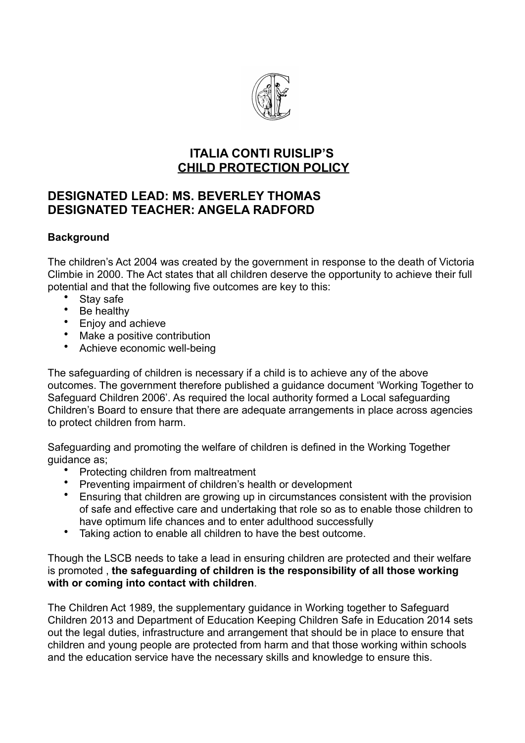

# **ITALIA CONTI RUISLIP'S CHILD PROTECTION POLICY**

# **DESIGNATED LEAD: MS. BEVERLEY THOMAS DESIGNATED TEACHER: ANGELA RADFORD**

## **Background**

The children's Act 2004 was created by the government in response to the death of Victoria Climbie in 2000. The Act states that all children deserve the opportunity to achieve their full potential and that the following five outcomes are key to this:

- Stay safe
- Be healthy
- Enjoy and achieve
- Make a positive contribution
- Achieve economic well-being

The safeguarding of children is necessary if a child is to achieve any of the above outcomes. The government therefore published a guidance document 'Working Together to Safeguard Children 2006'. As required the local authority formed a Local safeguarding Children's Board to ensure that there are adequate arrangements in place across agencies to protect children from harm.

Safeguarding and promoting the welfare of children is defined in the Working Together guidance as;

- Protecting children from maltreatment
- Preventing impairment of children's health or development
- Ensuring that children are growing up in circumstances consistent with the provision of safe and effective care and undertaking that role so as to enable those children to have optimum life chances and to enter adulthood successfully
- Taking action to enable all children to have the best outcome.

Though the LSCB needs to take a lead in ensuring children are protected and their welfare is promoted , **the safeguarding of children is the responsibility of all those working with or coming into contact with children**.

The Children Act 1989, the supplementary guidance in Working together to Safeguard Children 2013 and Department of Education Keeping Children Safe in Education 2014 sets out the legal duties, infrastructure and arrangement that should be in place to ensure that children and young people are protected from harm and that those working within schools and the education service have the necessary skills and knowledge to ensure this.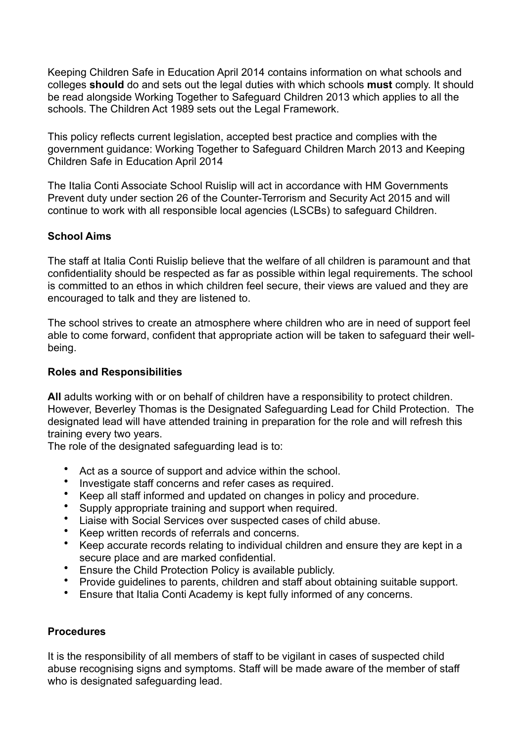Keeping Children Safe in Education April 2014 contains information on what schools and colleges **should** do and sets out the legal duties with which schools **must** comply. It should be read alongside Working Together to Safeguard Children 2013 which applies to all the schools. The Children Act 1989 sets out the Legal Framework.

This policy reflects current legislation, accepted best practice and complies with the government guidance: Working Together to Safeguard Children March 2013 and Keeping Children Safe in Education April 2014

The Italia Conti Associate School Ruislip will act in accordance with HM Governments Prevent duty under section 26 of the Counter-Terrorism and Security Act 2015 and will continue to work with all responsible local agencies (LSCBs) to safeguard Children.

### **School Aims**

The staff at Italia Conti Ruislip believe that the welfare of all children is paramount and that confidentiality should be respected as far as possible within legal requirements. The school is committed to an ethos in which children feel secure, their views are valued and they are encouraged to talk and they are listened to.

The school strives to create an atmosphere where children who are in need of support feel able to come forward, confident that appropriate action will be taken to safeguard their wellbeing.

#### **Roles and Responsibilities**

**All** adults working with or on behalf of children have a responsibility to protect children. However, Beverley Thomas is the Designated Safeguarding Lead for Child Protection.The designated lead will have attended training in preparation for the role and will refresh this training every two years.

The role of the designated safeguarding lead is to:

- Act as a source of support and advice within the school.<br>• Investigate staff concerns and refer cases as required
- Investigate staff concerns and refer cases as required.
- Keep all staff informed and updated on changes in policy and procedure.
- Supply appropriate training and support when required.<br>• Ligins with Social Services over suspected cases of chill
- Liaise with Social Services over suspected cases of child abuse.
- Keep written records of referrals and concerns.
- Keep accurate records relating to individual children and ensure they are kept in a secure place and are marked confidential.
- Ensure the Child Protection Policy is available publicly.
- Provide guidelines to parents, children and staff about obtaining suitable support.
- Ensure that Italia Conti Academy is kept fully informed of any concerns.

#### **Procedures**

It is the responsibility of all members of staff to be vigilant in cases of suspected child abuse recognising signs and symptoms. Staff will be made aware of the member of staff who is designated safeguarding lead.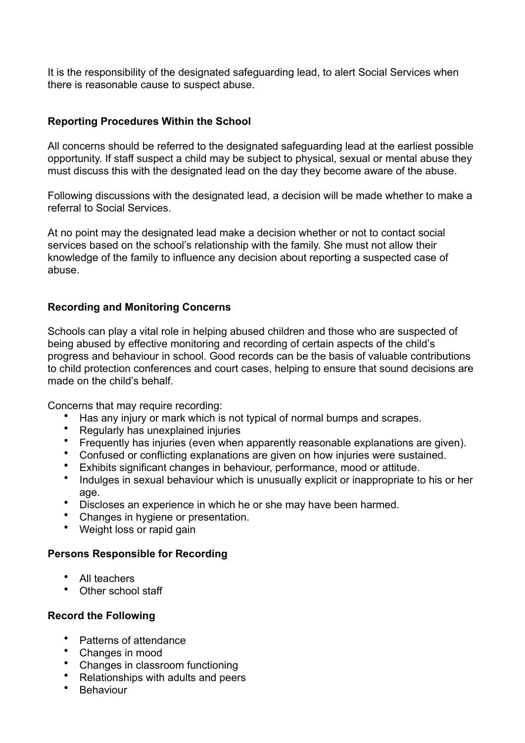It is the responsibility of the designated safeguarding lead, to alert Social Services when there is reasonable cause to suspect abuse.

### **Reporting Procedures Within the School**

All concerns should be referred to the designated safeguarding lead at the earliest possible opportunity. If staff suspect a child may be subject to physical, sexual or mental abuse they must discuss this with the designated lead on the day they become aware of the abuse.

Following discussions with the designated lead, a decision will be made whether to make a referral to Social Services.

At no point may the designated lead make a decision whether or not to contact social services based on the school's relationship with the family. She must not allow their knowledge of the family to influence any decision about reporting a suspected case of abuse.

## **Recording and Monitoring Concerns**

Schools can play a vital role in helping abused children and those who are suspected of being abused by effective monitoring and recording of certain aspects of the child's progress and behaviour in school. Good records can be the basis of valuable contributions to child protection conferences and court cases, helping to ensure that sound decisions are made on the child's behalf.

Concerns that may require recording:

- Has any injury or mark which is not typical of normal bumps and scrapes.
- Regularly has unexplained injuries
- Frequently has injuries (even when apparently reasonable explanations are given).
- Confused or conflicting explanations are given on how injuries were sustained.
- Exhibits significant changes in behaviour, performance, mood or attitude.<br>• Indulges in sexual behaviour which is unusually explicit or inappropriate to
- Indulges in sexual behaviour which is unusually explicit or inappropriate to his or her age.
- Discloses an experience in which he or she may have been harmed.
- Changes in hygiene or presentation.
- Weight loss or rapid gain

#### **Persons Responsible for Recording**

- All teachers
- Other school staff

#### **Record the Following**

- Patterns of attendance
- Changes in mood
- Changes in classroom functioning
- Relationships with adults and peers
- **Behaviour**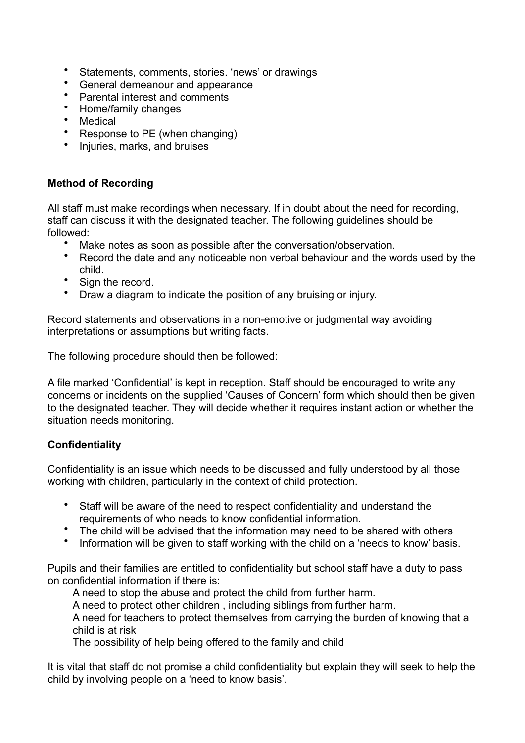- Statements, comments, stories. 'news' or drawings
- General demeanour and appearance
- Parental interest and comments
- Home/family changes
- Medical<br>• Respons
- Response to PE (when changing)<br>• Injuries marks and bruises
- Injuries, marks, and bruises

### **Method of Recording**

All staff must make recordings when necessary. If in doubt about the need for recording, staff can discuss it with the designated teacher. The following guidelines should be followed:

- Make notes as soon as possible after the conversation/observation.
- Record the date and any noticeable non verbal behaviour and the words used by the child.
- Sign the record.
- Draw a diagram to indicate the position of any bruising or injury.

Record statements and observations in a non-emotive or judgmental way avoiding interpretations or assumptions but writing facts.

The following procedure should then be followed:

A file marked 'Confidential' is kept in reception. Staff should be encouraged to write any concerns or incidents on the supplied 'Causes of Concern' form which should then be given to the designated teacher. They will decide whether it requires instant action or whether the situation needs monitoring.

## **Confidentiality**

Confidentiality is an issue which needs to be discussed and fully understood by all those working with children, particularly in the context of child protection.

- Staff will be aware of the need to respect confidentiality and understand the requirements of who needs to know confidential information.
- The child will be advised that the information may need to be shared with others
- Information will be given to staff working with the child on a 'needs to know' basis.

Pupils and their families are entitled to confidentiality but school staff have a duty to pass on confidential information if there is:

A need to stop the abuse and protect the child from further harm.

A need to protect other children , including siblings from further harm.

A need for teachers to protect themselves from carrying the burden of knowing that a child is at risk

The possibility of help being offered to the family and child

It is vital that staff do not promise a child confidentiality but explain they will seek to help the child by involving people on a 'need to know basis'.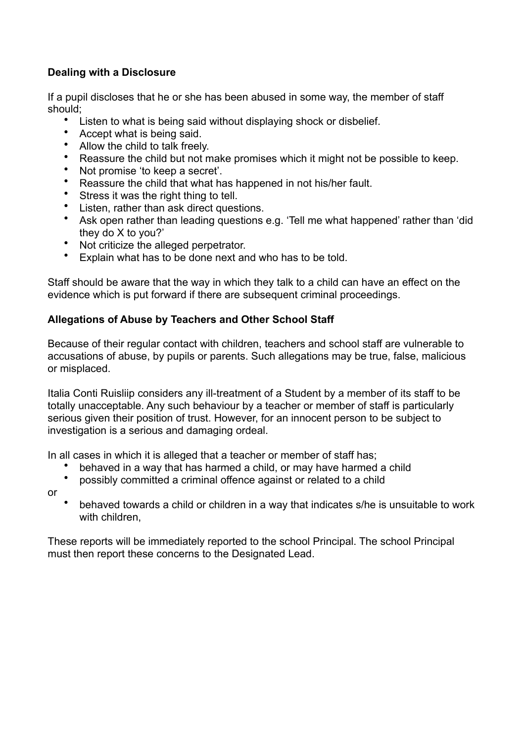## **Dealing with a Disclosure**

If a pupil discloses that he or she has been abused in some way, the member of staff should;

- Listen to what is being said without displaying shock or disbelief.
- Accept what is being said.
- Allow the child to talk freely.
- Reassure the child but not make promises which it might not be possible to keep.
- Not promise 'to keep a secret'.<br>• Peassure the child that what has
- Reassure the child that what has happened in not his/her fault.
- Stress it was the right thing to tell.
- Listen, rather than ask direct questions.
- Ask open rather than leading questions e.g. 'Tell me what happened' rather than 'did they do X to you?'
- Not criticize the alleged perpetrator.
- Explain what has to be done next and who has to be told.

Staff should be aware that the way in which they talk to a child can have an effect on the evidence which is put forward if there are subsequent criminal proceedings.

## **Allegations of Abuse by Teachers and Other School Staff**

Because of their regular contact with children, teachers and school staff are vulnerable to accusations of abuse, by pupils or parents. Such allegations may be true, false, malicious or misplaced.

Italia Conti Ruisliip considers any ill-treatment of a Student by a member of its staff to be totally unacceptable. Any such behaviour by a teacher or member of staff is particularly serious given their position of trust. However, for an innocent person to be subject to investigation is a serious and damaging ordeal.

In all cases in which it is alleged that a teacher or member of staff has;

- behaved in a way that has harmed a child, or may have harmed a child
- possibly committed a criminal offence against or related to a child

or

• behaved towards a child or children in a way that indicates s/he is unsuitable to work with children.

These reports will be immediately reported to the school Principal. The school Principal must then report these concerns to the Designated Lead.